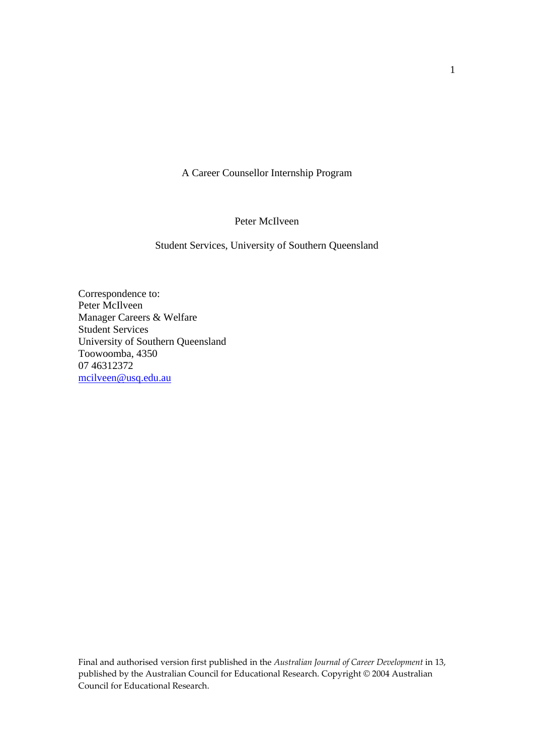A Career Counsellor Internship Program

Peter McIlveen

Student Services, University of Southern Queensland

Correspondence to: Peter McIlveen Manager Careers & Welfare Student Services University of Southern Queensland Toowoomba, 4350 07 46312372 mcilveen@usq.edu.au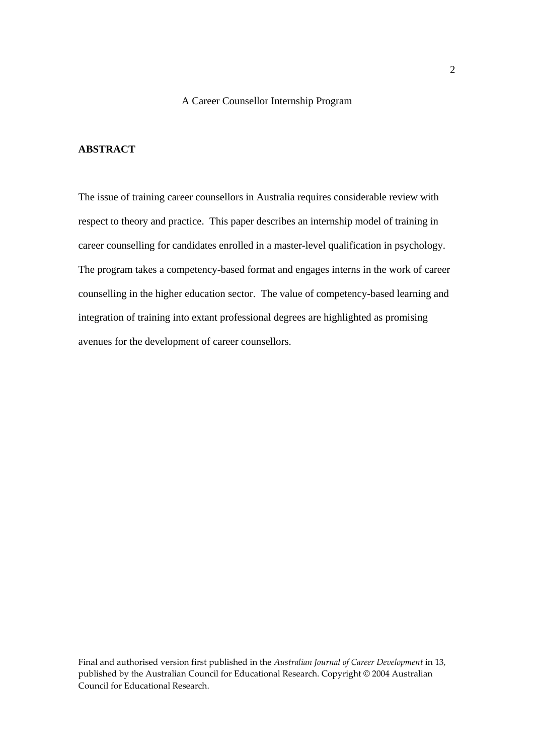## A Career Counsellor Internship Program

## **ABSTRACT**

The issue of training career counsellors in Australia requires considerable review with respect to theory and practice. This paper describes an internship model of training in career counselling for candidates enrolled in a master-level qualification in psychology. The program takes a competency-based format and engages interns in the work of career counselling in the higher education sector. The value of competency-based learning and integration of training into extant professional degrees are highlighted as promising avenues for the development of career counsellors.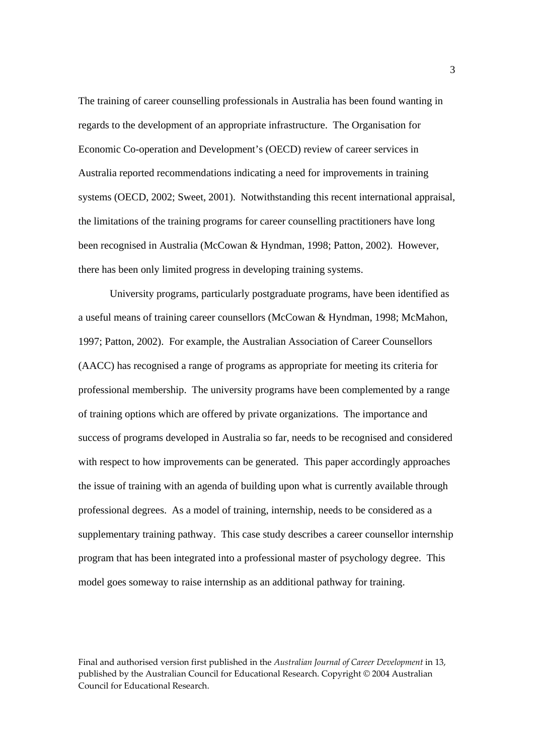The training of career counselling professionals in Australia has been found wanting in regards to the development of an appropriate infrastructure. The Organisation for Economic Co-operation and Development's (OECD) review of career services in Australia reported recommendations indicating a need for improvements in training systems (OECD, 2002; Sweet, 2001). Notwithstanding this recent international appraisal, the limitations of the training programs for career counselling practitioners have long been recognised in Australia (McCowan & Hyndman, 1998; Patton, 2002). However, there has been only limited progress in developing training systems.

University programs, particularly postgraduate programs, have been identified as a useful means of training career counsellors (McCowan & Hyndman, 1998; McMahon, 1997; Patton, 2002). For example, the Australian Association of Career Counsellors (AACC) has recognised a range of programs as appropriate for meeting its criteria for professional membership. The university programs have been complemented by a range of training options which are offered by private organizations. The importance and success of programs developed in Australia so far, needs to be recognised and considered with respect to how improvements can be generated. This paper accordingly approaches the issue of training with an agenda of building upon what is currently available through professional degrees. As a model of training, internship, needs to be considered as a supplementary training pathway. This case study describes a career counsellor internship program that has been integrated into a professional master of psychology degree. This model goes someway to raise internship as an additional pathway for training.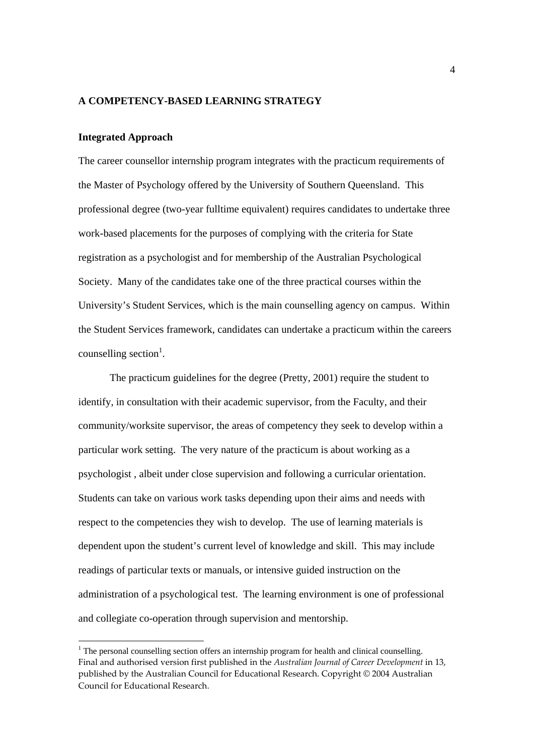### **A COMPETENCY-BASED LEARNING STRATEGY**

#### **Integrated Approach**

-

The career counsellor internship program integrates with the practicum requirements of the Master of Psychology offered by the University of Southern Queensland. This professional degree (two-year fulltime equivalent) requires candidates to undertake three work-based placements for the purposes of complying with the criteria for State registration as a psychologist and for membership of the Australian Psychological Society. Many of the candidates take one of the three practical courses within the University's Student Services, which is the main counselling agency on campus. Within the Student Services framework, candidates can undertake a practicum within the careers counselling section<sup>1</sup>.

The practicum guidelines for the degree (Pretty, 2001) require the student to identify, in consultation with their academic supervisor, from the Faculty, and their community/worksite supervisor, the areas of competency they seek to develop within a particular work setting. The very nature of the practicum is about working as a psychologist , albeit under close supervision and following a curricular orientation. Students can take on various work tasks depending upon their aims and needs with respect to the competencies they wish to develop. The use of learning materials is dependent upon the student's current level of knowledge and skill. This may include readings of particular texts or manuals, or intensive guided instruction on the administration of a psychological test. The learning environment is one of professional and collegiate co-operation through supervision and mentorship.

Final and authorised version first published in the *Australian Journal of Career Development* in 13, published by the Australian Council for Educational Research. Copyright © 2004 Australian Council for Educational Research. <sup>1</sup> The personal counselling section offers an internship program for health and clinical counselling.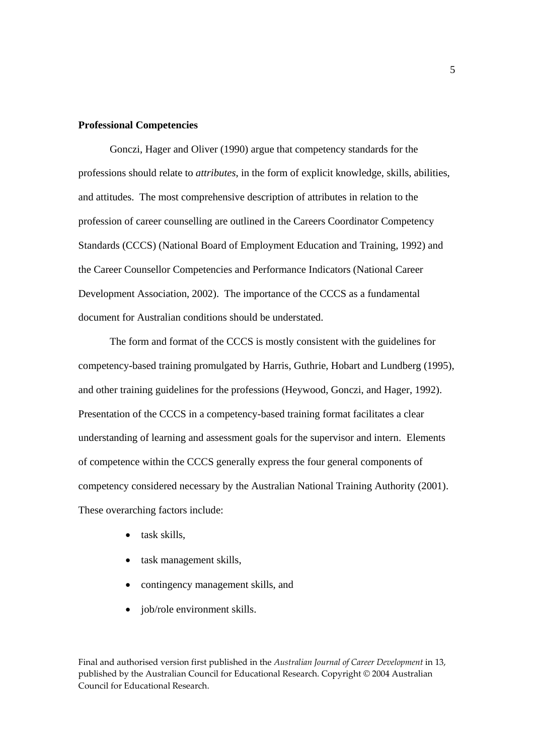## **Professional Competencies**

Gonczi, Hager and Oliver (1990) argue that competency standards for the professions should relate to *attributes*, in the form of explicit knowledge, skills, abilities, and attitudes. The most comprehensive description of attributes in relation to the profession of career counselling are outlined in the Careers Coordinator Competency Standards (CCCS) (National Board of Employment Education and Training, 1992) and the Career Counsellor Competencies and Performance Indicators (National Career Development Association, 2002). The importance of the CCCS as a fundamental document for Australian conditions should be understated.

The form and format of the CCCS is mostly consistent with the guidelines for competency-based training promulgated by Harris, Guthrie, Hobart and Lundberg (1995), and other training guidelines for the professions (Heywood, Gonczi, and Hager, 1992). Presentation of the CCCS in a competency-based training format facilitates a clear understanding of learning and assessment goals for the supervisor and intern. Elements of competence within the CCCS generally express the four general components of competency considered necessary by the Australian National Training Authority (2001). These overarching factors include:

- task skills,
- task management skills,
- contingency management skills, and
- job/role environment skills.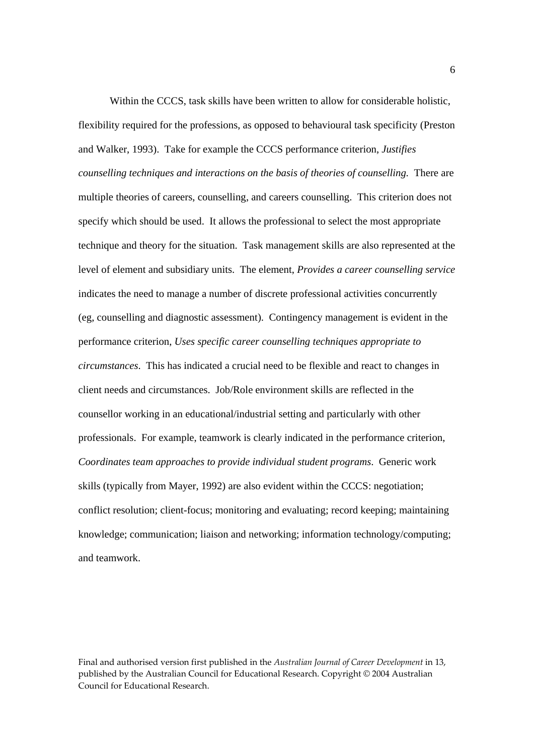Within the CCCS, task skills have been written to allow for considerable holistic. flexibility required for the professions, as opposed to behavioural task specificity (Preston and Walker, 1993). Take for example the CCCS performance criterion, *Justifies counselling techniques and interactions on the basis of theories of counselling.* There are multiple theories of careers, counselling, and careers counselling. This criterion does not specify which should be used. It allows the professional to select the most appropriate technique and theory for the situation. Task management skills are also represented at the level of element and subsidiary units. The element, *Provides a career counselling service* indicates the need to manage a number of discrete professional activities concurrently (eg, counselling and diagnostic assessment). Contingency management is evident in the performance criterion, *Uses specific career counselling techniques appropriate to circumstances*. This has indicated a crucial need to be flexible and react to changes in client needs and circumstances. Job/Role environment skills are reflected in the counsellor working in an educational/industrial setting and particularly with other professionals. For example, teamwork is clearly indicated in the performance criterion, *Coordinates team approaches to provide individual student programs*. Generic work skills (typically from Mayer, 1992) are also evident within the CCCS: negotiation; conflict resolution; client-focus; monitoring and evaluating; record keeping; maintaining knowledge; communication; liaison and networking; information technology/computing; and teamwork.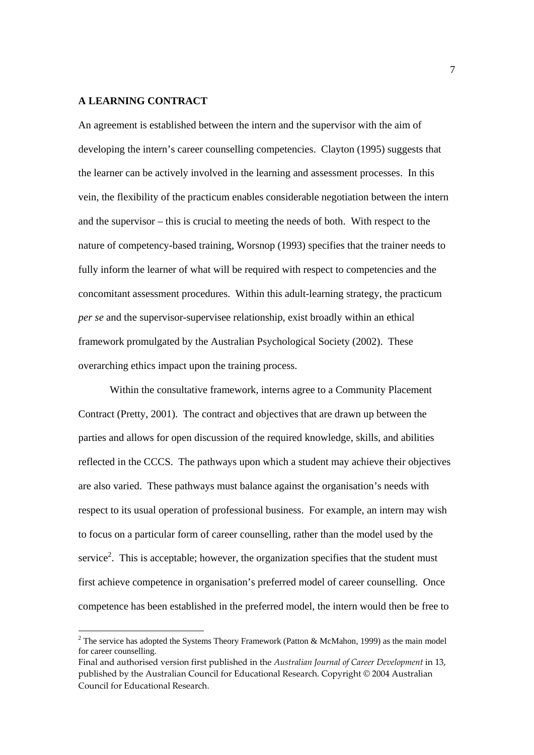## **A LEARNING CONTRACT**

-

An agreement is established between the intern and the supervisor with the aim of developing the intern's career counselling competencies. Clayton (1995) suggests that the learner can be actively involved in the learning and assessment processes. In this vein, the flexibility of the practicum enables considerable negotiation between the intern and the supervisor – this is crucial to meeting the needs of both. With respect to the nature of competency-based training, Worsnop (1993) specifies that the trainer needs to fully inform the learner of what will be required with respect to competencies and the concomitant assessment procedures. Within this adult-learning strategy, the practicum *per se* and the supervisor-supervisee relationship, exist broadly within an ethical framework promulgated by the Australian Psychological Society (2002). These overarching ethics impact upon the training process.

Within the consultative framework, interns agree to a Community Placement Contract (Pretty, 2001). The contract and objectives that are drawn up between the parties and allows for open discussion of the required knowledge, skills, and abilities reflected in the CCCS. The pathways upon which a student may achieve their objectives are also varied. These pathways must balance against the organisation's needs with respect to its usual operation of professional business. For example, an intern may wish to focus on a particular form of career counselling, rather than the model used by the service<sup>2</sup>. This is acceptable; however, the organization specifies that the student must first achieve competence in organisation's preferred model of career counselling. Once competence has been established in the preferred model, the intern would then be free to

<sup>&</sup>lt;sup>2</sup> The service has adopted the Systems Theory Framework (Patton & McMahon, 1999) as the main model for career counselling.

Final and authorised version first published in the *Australian Journal of Career Development* in 13, published by the Australian Council for Educational Research. Copyright © 2004 Australian Council for Educational Research.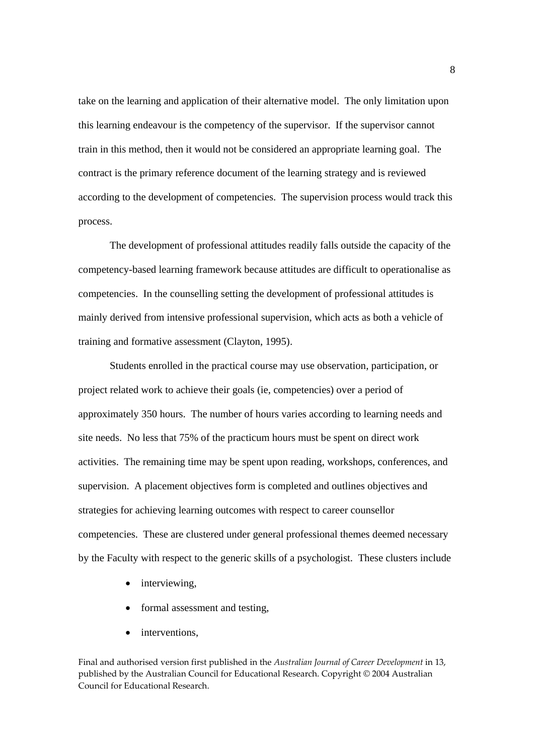take on the learning and application of their alternative model. The only limitation upon this learning endeavour is the competency of the supervisor. If the supervisor cannot train in this method, then it would not be considered an appropriate learning goal. The contract is the primary reference document of the learning strategy and is reviewed according to the development of competencies. The supervision process would track this process.

The development of professional attitudes readily falls outside the capacity of the competency-based learning framework because attitudes are difficult to operationalise as competencies. In the counselling setting the development of professional attitudes is mainly derived from intensive professional supervision, which acts as both a vehicle of training and formative assessment (Clayton, 1995).

Students enrolled in the practical course may use observation, participation, or project related work to achieve their goals (ie, competencies) over a period of approximately 350 hours. The number of hours varies according to learning needs and site needs. No less that 75% of the practicum hours must be spent on direct work activities. The remaining time may be spent upon reading, workshops, conferences, and supervision. A placement objectives form is completed and outlines objectives and strategies for achieving learning outcomes with respect to career counsellor competencies. These are clustered under general professional themes deemed necessary by the Faculty with respect to the generic skills of a psychologist. These clusters include

- interviewing,
- formal assessment and testing,
- interventions.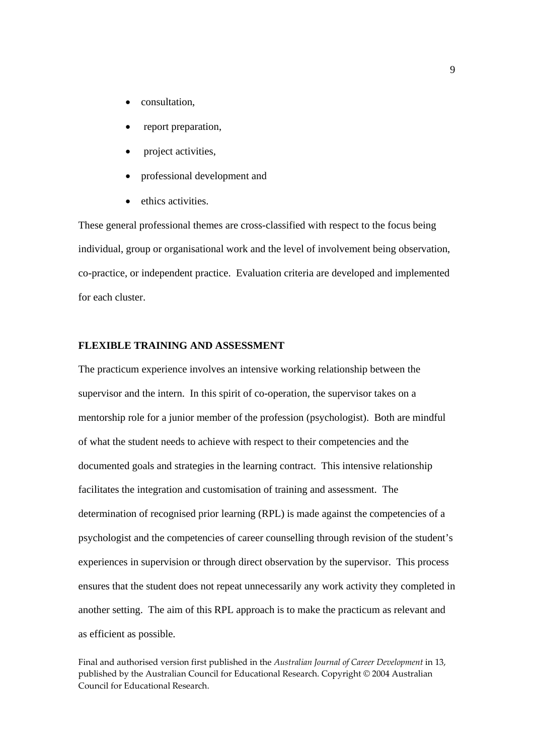- consultation,
- report preparation,
- project activities,
- professional development and
- ethics activities.

These general professional themes are cross-classified with respect to the focus being individual, group or organisational work and the level of involvement being observation, co-practice, or independent practice. Evaluation criteria are developed and implemented for each cluster.

## **FLEXIBLE TRAINING AND ASSESSMENT**

The practicum experience involves an intensive working relationship between the supervisor and the intern. In this spirit of co-operation, the supervisor takes on a mentorship role for a junior member of the profession (psychologist). Both are mindful of what the student needs to achieve with respect to their competencies and the documented goals and strategies in the learning contract. This intensive relationship facilitates the integration and customisation of training and assessment. The determination of recognised prior learning (RPL) is made against the competencies of a psychologist and the competencies of career counselling through revision of the student's experiences in supervision or through direct observation by the supervisor. This process ensures that the student does not repeat unnecessarily any work activity they completed in another setting. The aim of this RPL approach is to make the practicum as relevant and as efficient as possible.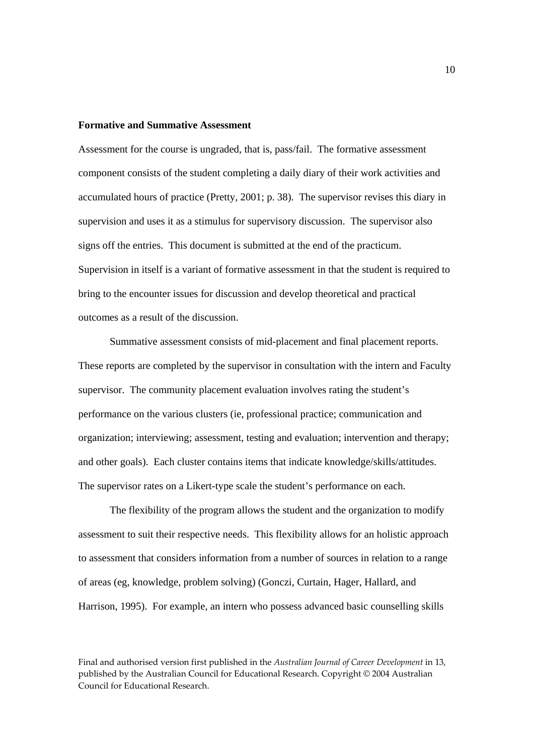## **Formative and Summative Assessment**

Assessment for the course is ungraded, that is, pass/fail. The formative assessment component consists of the student completing a daily diary of their work activities and accumulated hours of practice (Pretty, 2001; p. 38). The supervisor revises this diary in supervision and uses it as a stimulus for supervisory discussion. The supervisor also signs off the entries. This document is submitted at the end of the practicum. Supervision in itself is a variant of formative assessment in that the student is required to bring to the encounter issues for discussion and develop theoretical and practical outcomes as a result of the discussion.

Summative assessment consists of mid-placement and final placement reports. These reports are completed by the supervisor in consultation with the intern and Faculty supervisor. The community placement evaluation involves rating the student's performance on the various clusters (ie, professional practice; communication and organization; interviewing; assessment, testing and evaluation; intervention and therapy; and other goals). Each cluster contains items that indicate knowledge/skills/attitudes. The supervisor rates on a Likert-type scale the student's performance on each.

The flexibility of the program allows the student and the organization to modify assessment to suit their respective needs. This flexibility allows for an holistic approach to assessment that considers information from a number of sources in relation to a range of areas (eg, knowledge, problem solving) (Gonczi, Curtain, Hager, Hallard, and Harrison, 1995). For example, an intern who possess advanced basic counselling skills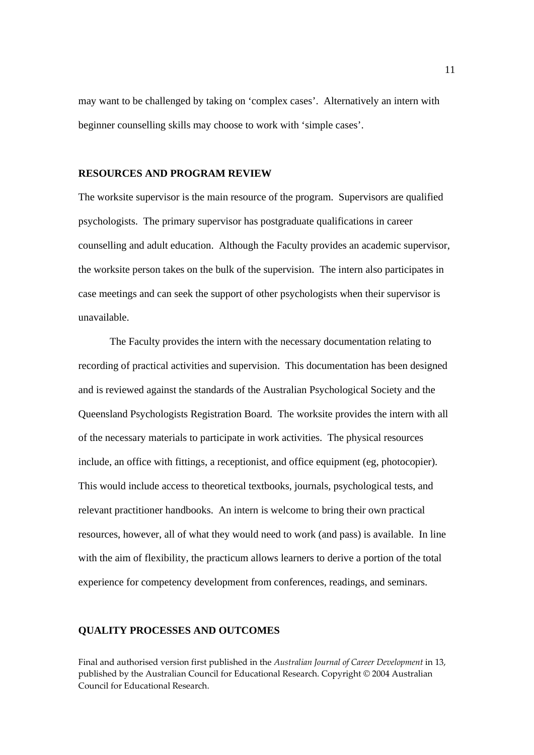may want to be challenged by taking on 'complex cases'. Alternatively an intern with beginner counselling skills may choose to work with 'simple cases'.

# **RESOURCES AND PROGRAM REVIEW**

The worksite supervisor is the main resource of the program. Supervisors are qualified psychologists. The primary supervisor has postgraduate qualifications in career counselling and adult education. Although the Faculty provides an academic supervisor, the worksite person takes on the bulk of the supervision. The intern also participates in case meetings and can seek the support of other psychologists when their supervisor is unavailable.

The Faculty provides the intern with the necessary documentation relating to recording of practical activities and supervision. This documentation has been designed and is reviewed against the standards of the Australian Psychological Society and the Queensland Psychologists Registration Board. The worksite provides the intern with all of the necessary materials to participate in work activities. The physical resources include, an office with fittings, a receptionist, and office equipment (eg, photocopier). This would include access to theoretical textbooks, journals, psychological tests, and relevant practitioner handbooks. An intern is welcome to bring their own practical resources, however, all of what they would need to work (and pass) is available. In line with the aim of flexibility, the practicum allows learners to derive a portion of the total experience for competency development from conferences, readings, and seminars.

#### **QUALITY PROCESSES AND OUTCOMES**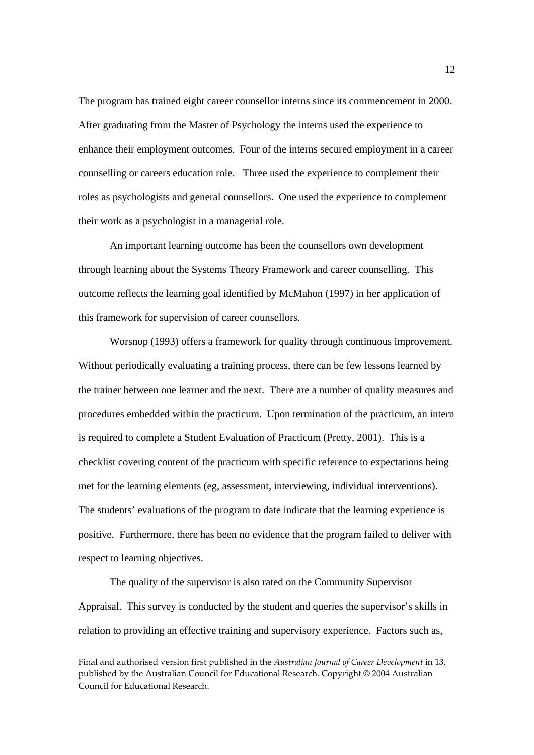The program has trained eight career counsellor interns since its commencement in 2000. After graduating from the Master of Psychology the interns used the experience to enhance their employment outcomes. Four of the interns secured employment in a career counselling or careers education role. Three used the experience to complement their roles as psychologists and general counsellors. One used the experience to complement their work as a psychologist in a managerial role.

An important learning outcome has been the counsellors own development through learning about the Systems Theory Framework and career counselling. This outcome reflects the learning goal identified by McMahon (1997) in her application of this framework for supervision of career counsellors.

Worsnop (1993) offers a framework for quality through continuous improvement. Without periodically evaluating a training process, there can be few lessons learned by the trainer between one learner and the next. There are a number of quality measures and procedures embedded within the practicum. Upon termination of the practicum, an intern is required to complete a Student Evaluation of Practicum (Pretty, 2001). This is a checklist covering content of the practicum with specific reference to expectations being met for the learning elements (eg, assessment, interviewing, individual interventions). The students' evaluations of the program to date indicate that the learning experience is positive. Furthermore, there has been no evidence that the program failed to deliver with respect to learning objectives.

The quality of the supervisor is also rated on the Community Supervisor Appraisal. This survey is conducted by the student and queries the supervisor's skills in relation to providing an effective training and supervisory experience. Factors such as,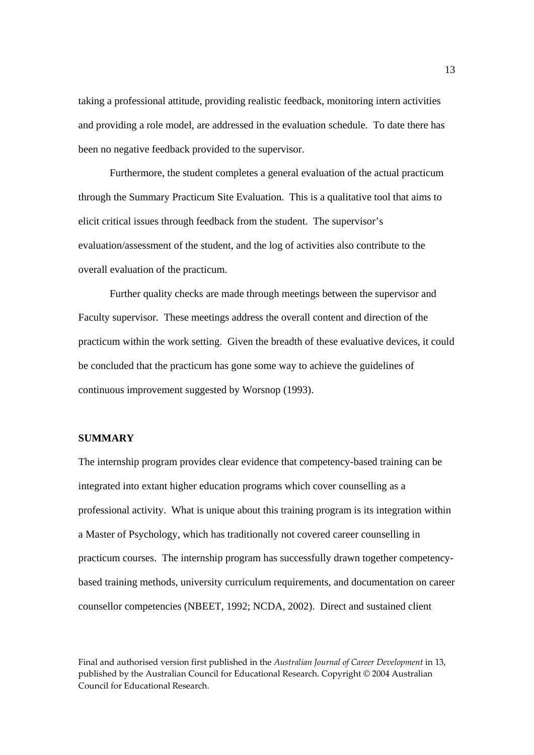taking a professional attitude, providing realistic feedback, monitoring intern activities and providing a role model, are addressed in the evaluation schedule. To date there has been no negative feedback provided to the supervisor.

Furthermore, the student completes a general evaluation of the actual practicum through the Summary Practicum Site Evaluation. This is a qualitative tool that aims to elicit critical issues through feedback from the student. The supervisor's evaluation/assessment of the student, and the log of activities also contribute to the overall evaluation of the practicum.

Further quality checks are made through meetings between the supervisor and Faculty supervisor. These meetings address the overall content and direction of the practicum within the work setting. Given the breadth of these evaluative devices, it could be concluded that the practicum has gone some way to achieve the guidelines of continuous improvement suggested by Worsnop (1993).

## **SUMMARY**

The internship program provides clear evidence that competency-based training can be integrated into extant higher education programs which cover counselling as a professional activity. What is unique about this training program is its integration within a Master of Psychology, which has traditionally not covered career counselling in practicum courses. The internship program has successfully drawn together competencybased training methods, university curriculum requirements, and documentation on career counsellor competencies (NBEET, 1992; NCDA, 2002). Direct and sustained client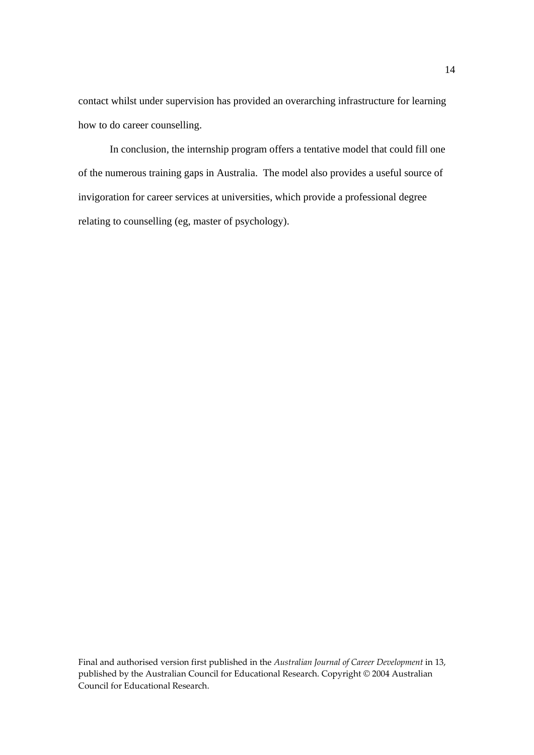contact whilst under supervision has provided an overarching infrastructure for learning how to do career counselling.

In conclusion, the internship program offers a tentative model that could fill one of the numerous training gaps in Australia. The model also provides a useful source of invigoration for career services at universities, which provide a professional degree relating to counselling (eg, master of psychology).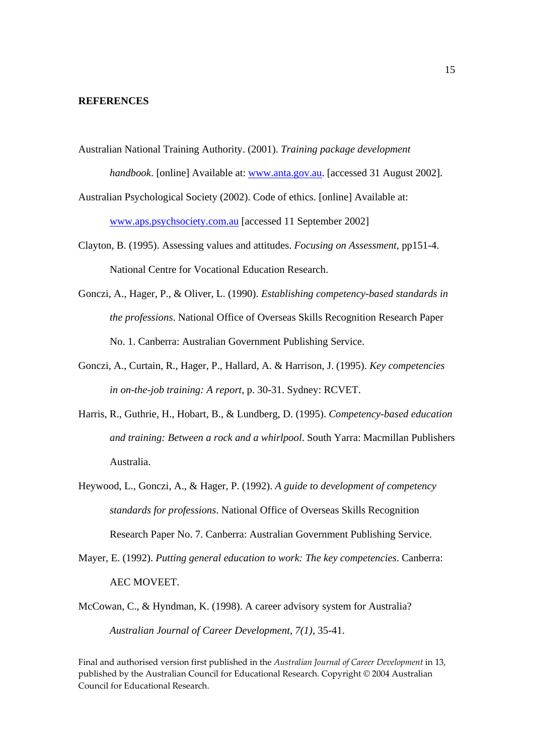### **REFERENCES**

Australian National Training Authority. (2001). *Training package development* 

*handbook*. [online] Available at: www.anta.gov.au. [accessed 31 August 2002].

- Australian Psychological Society (2002). Code of ethics. [online] Available at: www.aps.psychsociety.com.au [accessed 11 September 2002]
- Clayton, B. (1995). Assessing values and attitudes. *Focusing on Assessment*, pp151-4. National Centre for Vocational Education Research.
- Gonczi, A., Hager, P., & Oliver, L. (1990). *Establishing competency-based standards in the professions*. National Office of Overseas Skills Recognition Research Paper No. 1. Canberra: Australian Government Publishing Service.
- Gonczi, A., Curtain, R., Hager, P., Hallard, A. & Harrison, J. (1995). *Key competencies in on-the-job training: A report*, p. 30-31. Sydney: RCVET.
- Harris, R., Guthrie, H., Hobart, B., & Lundberg, D. (1995). *Competency-based education and training: Between a rock and a whirlpool*. South Yarra: Macmillan Publishers Australia.
- Heywood, L., Gonczi, A., & Hager, P. (1992). *A guide to development of competency standards for professions*. National Office of Overseas Skills Recognition Research Paper No. 7. Canberra: Australian Government Publishing Service.
- Mayer, E. (1992). *Putting general education to work: The key competencies*. Canberra: AEC MOVEET.
- McCowan, C., & Hyndman, K. (1998). A career advisory system for Australia? *Australian Journal of Career Development*, *7(1)*, 35-41.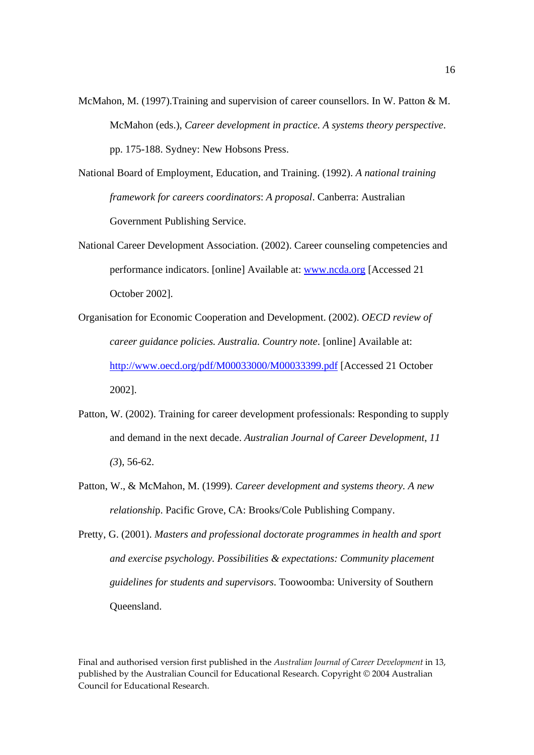- McMahon, M. (1997).Training and supervision of career counsellors. In W. Patton & M. McMahon (eds.), *Career development in practice. A systems theory perspective*. pp. 175-188. Sydney: New Hobsons Press.
- National Board of Employment, Education, and Training. (1992). *A national training framework for careers coordinators*: *A proposal*. Canberra: Australian Government Publishing Service.
- National Career Development Association. (2002). Career counseling competencies and performance indicators. [online] Available at: www.ncda.org [Accessed 21 October 2002].
- Organisation for Economic Cooperation and Development. (2002). *OECD review of career guidance policies. Australia. Country note*. [online] Available at: http://www.oecd.org/pdf/M00033000/M00033399.pdf [Accessed 21 October 2002].
- Patton, W. (2002). Training for career development professionals: Responding to supply and demand in the next decade. *Australian Journal of Career Development*, *11 (3*), 56-62.
- Patton, W., & McMahon, M. (1999). *Career development and systems theory. A new relationshi*p. Pacific Grove, CA: Brooks/Cole Publishing Company.
- Pretty, G. (2001). *Masters and professional doctorate programmes in health and sport and exercise psychology. Possibilities & expectations: Community placement guidelines for students and supervisors*. Toowoomba: University of Southern Queensland.